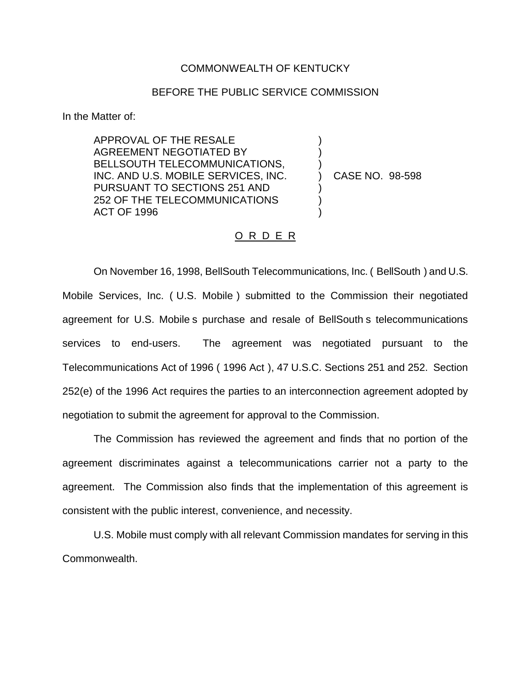## COMMONWEALTH OF KENTUCKY

## BEFORE THE PUBLIC SERVICE COMMISSION

In the Matter of:

APPROVAL OF THE RESALE AGREEMENT NEGOTIATED BY BELLSOUTH TELECOMMUNICATIONS, INC. AND U.S. MOBILE SERVICES, INC. PURSUANT TO SECTIONS 251 AND 252 OF THE TELECOMMUNICATIONS ACT OF 1996

) CASE NO. 98-598

) ) )

) ) )

## O R D E R

On November 16, 1998, BellSouth Telecommunications, Inc. ( BellSouth ) and U.S. Mobile Services, Inc. ( U.S. Mobile ) submitted to the Commission their negotiated agreement for U.S. Mobile s purchase and resale of BellSouth s telecommunications services to end-users. The agreement was negotiated pursuant to the Telecommunications Act of 1996 ( 1996 Act ), 47 U.S.C. Sections 251 and 252. Section 252(e) of the 1996 Act requires the parties to an interconnection agreement adopted by negotiation to submit the agreement for approval to the Commission.

The Commission has reviewed the agreement and finds that no portion of the agreement discriminates against a telecommunications carrier not a party to the agreement. The Commission also finds that the implementation of this agreement is consistent with the public interest, convenience, and necessity.

U.S. Mobile must comply with all relevant Commission mandates for serving in this Commonwealth.